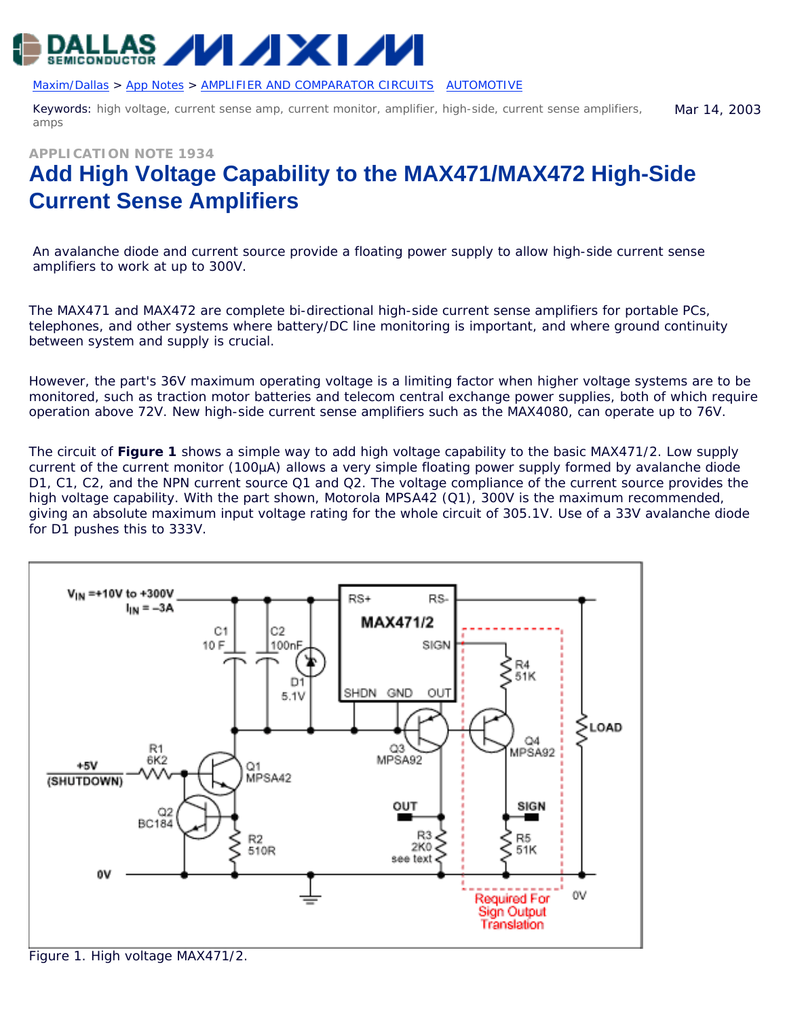

[Maxim/Dallas](http://www.maxim-ic.com/) > [App Notes](http://www.maxim-ic.com/appnotes10.cfm) > [AMPLIFIER AND COMPARATOR CIRCUITS](http://www.maxim-ic.com/appnotes10.cfm/ac_pk/3/ln/en) [AUTOMOTIVE](http://www.maxim-ic.com/appnotes10.cfm/ac_pk/46/ln/en) 

Keywords: high voltage, current sense amp, current monitor, amplifier, high-side, current sense amplifiers, amps Mar 14, 2003

**APPLICATION NOTE 1934**

## **Add High Voltage Capability to the MAX471/MAX472 High-Side Current Sense Amplifiers**

*An avalanche diode and current source provide a floating power supply to allow high-side current sense amplifiers to work at up to 300V.*

The MAX471 and MAX472 are complete bi-directional high-side current sense amplifiers for portable PCs, telephones, and other systems where battery/DC line monitoring is important, and where ground continuity between system and supply is crucial.

However, the part's 36V maximum operating voltage is a limiting factor when higher voltage systems are to be monitored, such as traction motor batteries and telecom central exchange power supplies, both of which require operation above 72V. New high-side current sense amplifiers such as the MAX4080, can operate up to 76V.

The circuit of **Figure 1** shows a simple way to add high voltage capability to the basic MAX471/2. Low supply current of the current monitor (100µA) allows a very simple floating power supply formed by avalanche diode D1, C1, C2, and the NPN current source Q1 and Q2. The voltage compliance of the current source provides the high voltage capability. With the part shown, Motorola MPSA42 (Q1), 300V is the maximum recommended, giving an absolute maximum input voltage rating for the whole circuit of 305.1V. Use of a 33V avalanche diode for D1 pushes this to 333V.



*Figure 1. High voltage MAX471/2.*